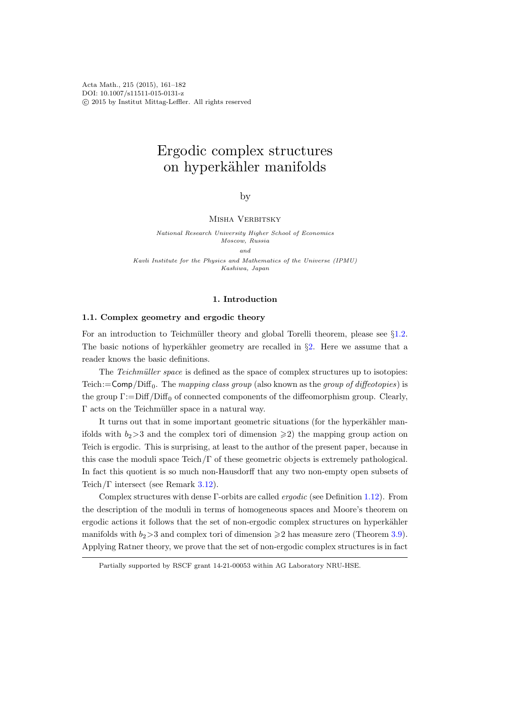Acta Math., 215 (2015), 161–182 DOI: 10.1007/s11511-015-0131-z c 2015 by Institut Mittag-Leffler. All rights reserved

# Ergodic complex structures on hyperkähler manifolds

by

# MISHA VERBITSKY

National Research University Higher School of Economics Moscow, Russia and Kavli Institute for the Physics and Mathematics of the Universe (IPMU) Kashiwa, Japan

### 1. Introduction

### 1.1. Complex geometry and ergodic theory

For an introduction to Teichmüller theory and global Torelli theorem, please see  $\S1.2$ . The basic notions of hyperkähler geometry are recalled in  $\S2$ . Here we assume that a reader knows the basic definitions.

The Teichmüller space is defined as the space of complex structures up to isotopies: Teich:= $\mathsf{Comp}/\text{Diff}_0$ . The mapping class group (also known as the group of diffeotopies) is the group  $\Gamma$ :=Diff/Diff<sub>0</sub> of connected components of the diffeomorphism group. Clearly,  $\Gamma$  acts on the Teichmüller space in a natural way.

It turns out that in some important geometric situations (for the hyperkähler manifolds with  $b_2>3$  and the complex tori of dimension  $\geq 2$ ) the mapping group action on Teich is ergodic. This is surprising, at least to the author of the present paper, because in this case the moduli space Teich/Γ of these geometric objects is extremely pathological. In fact this quotient is so much non-Hausdorff that any two non-empty open subsets of Teich/Γ intersect (see Remark [3.12\)](#page-11-0).

Complex structures with dense Γ-orbits are called ergodic (see Definition [1.12\)](#page-3-0). From the description of the moduli in terms of homogeneous spaces and Moore's theorem on ergodic actions it follows that the set of non-ergodic complex structures on hyperkähler manifolds with  $b_2>3$  and complex tori of dimension  $\geq 2$  has measure zero (Theorem [3.9\)](#page-10-0). Applying Ratner theory, we prove that the set of non-ergodic complex structures is in fact

Partially supported by RSCF grant 14-21-00053 within AG Laboratory NRU-HSE.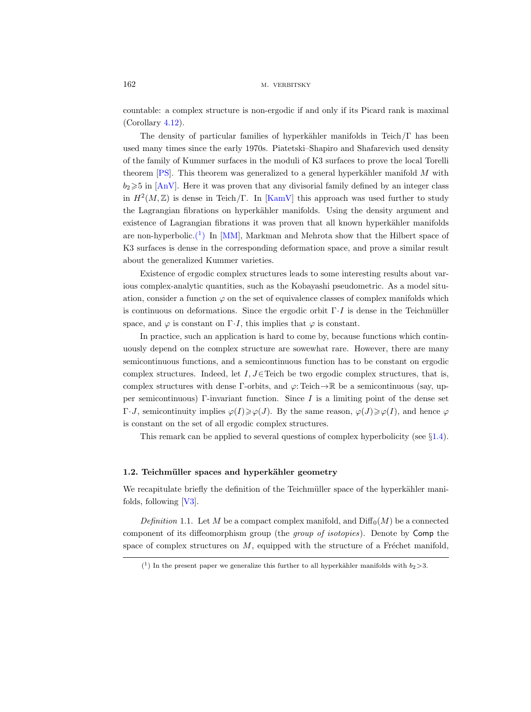countable: a complex structure is non-ergodic if and only if its Picard rank is maximal (Corollary [4.12\)](#page-14-0).

The density of particular families of hyperkähler manifolds in Teich/Γ has been used many times since the early 1970s. Piatetski–Shapiro and Shafarevich used density of the family of Kummer surfaces in the moduli of K3 surfaces to prove the local Torelli theorem  $[PS]$ . This theorem was generalized to a general hyperkähler manifold M with  $b_2 \geq 5$  in [\[AnV\]](#page-19-0). Here it was proven that any divisorial family defined by an integer class in  $H^2(M,\mathbb{Z})$  is dense in Teich/Γ. In [\[KamV\]](#page-20-0) this approach was used further to study the Lagrangian fibrations on hyperkähler manifolds. Using the density argument and existence of Lagrangian fibrations it was proven that all known hyperkähler manifolds are non-hyperbolic.<sup>(1</sup>) In [\[MM\]](#page-20-1), Markman and Mehrota show that the Hilbert space of K3 surfaces is dense in the corresponding deformation space, and prove a similar result about the generalized Kummer varieties.

Existence of ergodic complex structures leads to some interesting results about various complex-analytic quantities, such as the Kobayashi pseudometric. As a model situation, consider a function  $\varphi$  on the set of equivalence classes of complex manifolds which is continuous on deformations. Since the ergodic orbit  $\Gamma \cdot I$  is dense in the Teichmüller space, and  $\varphi$  is constant on  $\Gamma \cdot I$ , this implies that  $\varphi$  is constant.

In practice, such an application is hard to come by, because functions which continuously depend on the complex structure are sowewhat rare. However, there are many semicontinuous functions, and a semicontinuous function has to be constant on ergodic complex structures. Indeed, let  $I, J \in$  Teich be two ergodic complex structures, that is, complex structures with dense Γ-orbits, and  $\varphi$ : Teich  $\rightarrow \mathbb{R}$  be a semicontinuous (say, upper semicontinuous) Γ-invariant function. Since  $I$  is a limiting point of the dense set  $\Gamma \cdot J$ , semicontinuity implies  $\varphi(I) \geq \varphi(J)$ . By the same reason,  $\varphi(J) \geq \varphi(I)$ , and hence  $\varphi$ is constant on the set of all ergodic complex structures.

This remark can be applied to several questions of complex hyperbolicity (see  $\S1.4$ ).

# <span id="page-1-0"></span>1.2. Teichmüller spaces and hyperkähler geometry

We recapitulate briefly the definition of the Teichmüller space of the hyperkähler manifolds, following [\[V3\]](#page-21-1).

Definition 1.1. Let M be a compact complex manifold, and  $\text{Diff}_0(M)$  be a connected component of its diffeomorphism group (the group of isotopies). Denote by Comp the space of complex structures on  $M$ , equipped with the structure of a Fréchet manifold,

<span id="page-1-1"></span><sup>(&</sup>lt;sup>1</sup>) In the present paper we generalize this further to all hyperkähler manifolds with  $b_2$ >3.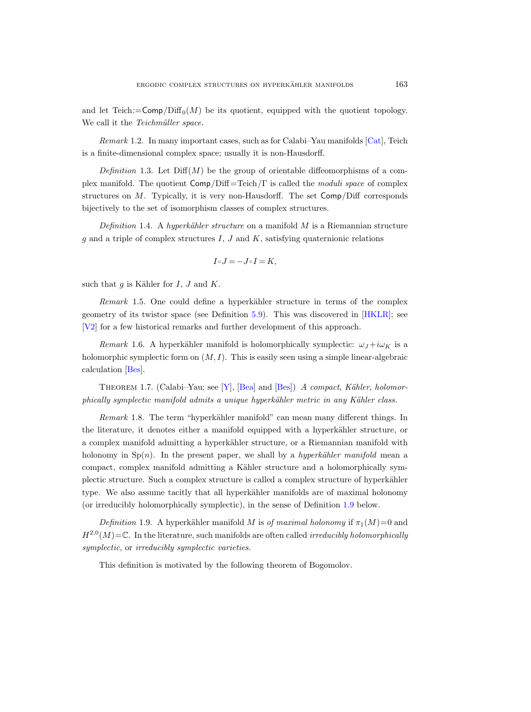and let Teich:= $\mathsf{Comp}/\text{Diff}_0(M)$  be its quotient, equipped with the quotient topology. We call it the *Teichmüller space*.

Remark 1.2. In many important cases, such as for Calabi–Yau manifolds [\[Cat\]](#page-20-2), Teich is a finite-dimensional complex space; usually it is non-Hausdorff.

Definition 1.3. Let  $\text{Diff}(M)$  be the group of orientable diffeomorphisms of a complex manifold. The quotient  $Comp/Diff = Teich/\Gamma$  is called the *moduli space* of complex structures on  $M$ . Typically, it is very non-Hausdorff. The set  $Comp/Diff$  corresponds bijectively to the set of isomorphism classes of complex structures.

Definition 1.4. A hyperkähler structure on a manifold  $M$  is a Riemannian structure  $g$  and a triple of complex structures  $I, J$  and  $K$ , satisfying quaternionic relations

$$
I \circ J = -J \circ I = K,
$$

such that  $q$  is Kähler for  $I, J$  and  $K$ .

Remark 1.5. One could define a hyperkähler structure in terms of the complex geometry of its twistor space (see Definition [5.9\)](#page-18-0). This was discovered in [\[HKLR\]](#page-20-3); see [\[V2\]](#page-21-2) for a few historical remarks and further development of this approach.

Remark 1.6. A hyperkähler manifold is holomorphically symplectic:  $\omega_J + i\omega_K$  is a holomorphic symplectic form on  $(M, I)$ . This is easily seen using a simple linear-algebraic calculation [\[Bes\]](#page-19-1).

<span id="page-2-1"></span>THEOREM 1.7. (Calabi–Yau; see [\[Y\]](#page-21-3), [\[Bea\]](#page-19-2) and [\[Bes\]](#page-19-1)) A compact, Kähler, holomorphically symplectic manifold admits a unique hyperkähler metric in any Kähler class.

*Remark* 1.8. The term "hyperkähler manifold" can mean many different things. In the literature, it denotes either a manifold equipped with a hyperkähler structure, or a complex manifold admitting a hyperkähler structure, or a Riemannian manifold with holonomy in  $Sp(n)$ . In the present paper, we shall by a *hyperkähler manifold* mean a compact, complex manifold admitting a Kähler structure and a holomorphically symplectic structure. Such a complex structure is called a complex structure of hyperkähler type. We also assume tacitly that all hyperkähler manifolds are of maximal holonomy (or irreducibly holomorphically symplectic), in the sense of Definition [1.9](#page-2-0) below.

<span id="page-2-0"></span>Definition 1.9. A hyperkähler manifold M is of maximal holonomy if  $\pi_1(M)=0$  and  $H^{2,0}(M) = \mathbb{C}$ . In the literature, such manifolds are often called *irreducibly holomorphically* symplectic, or irreducibly symplectic varieties.

This definition is motivated by the following theorem of Bogomolov.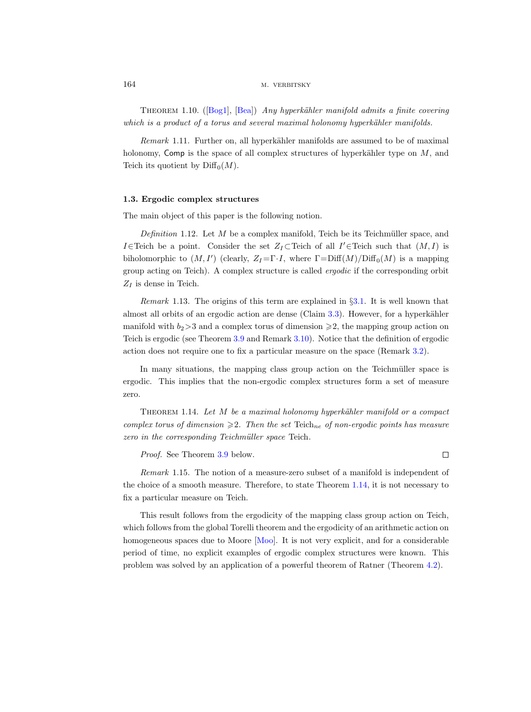THEOREM1.10. ([\[Bog1\]](#page-19-3), [\[Bea\]](#page-19-2)) Any hyperkähler manifold admits a finite covering which is a product of a torus and several maximal holonomy hyperkähler manifolds.

<span id="page-3-2"></span>Remark 1.11. Further on, all hyperkähler manifolds are assumed to be of maximal holonomy, Comp is the space of all complex structures of hyperkähler type on  $M$ , and Teich its quotient by  $\text{Diff}_0(M)$ .

# 1.3. Ergodic complex structures

The main object of this paper is the following notion.

<span id="page-3-0"></span>Definition 1.12. Let  $M$  be a complex manifold, Teich be its Teichmüller space, and *I*∈Teich be a point. Consider the set  $Z_I \subset$ Teich of all *I'*∈Teich such that  $(M, I)$  is biholomorphic to  $(M, I')$  (clearly,  $Z_I = \Gamma \cdot I$ , where  $\Gamma = \text{Diff}(M)/\text{Diff}_0(M)$  is a mapping group acting on Teich). A complex structure is called ergodic if the corresponding orbit  $Z_I$  is dense in Teich.

*Remark* 1.13. The origins of this term are explained in  $\S 3.1$ . It is well known that almost all orbits of an ergodic action are dense (Claim  $3.3$ ). However, for a hyperkähler manifold with  $b_2>3$  and a complex torus of dimension  $\geq 2$ , the mapping group action on Teich is ergodic (see Theorem [3.9](#page-10-0) and Remark [3.10\)](#page-10-1). Notice that the definition of ergodic action does not require one to fix a particular measure on the space (Remark [3.2\)](#page-9-2).

In many situations, the mapping class group action on the Teichmüller space is ergodic. This implies that the non-ergodic complex structures form a set of measure zero.

<span id="page-3-1"></span>THEOREM 1.14. Let  $M$  be a maximal holonomy hyperkähler manifold or a compact complex torus of dimension  $\geq 2$ . Then the set Teich<sub>ne</sub> of non-ergodic points has measure zero in the corresponding Teichmüller space Teich.

Proof. See Theorem [3.9](#page-10-0) below.

 $\Box$ 

Remark 1.15. The notion of a measure-zero subset of a manifold is independent of the choice of a smooth measure. Therefore, to state Theorem [1.14,](#page-3-1) it is not necessary to fix a particular measure on Teich.

This result follows from the ergodicity of the mapping class group action on Teich, which follows from the global Torelli theorem and the ergodicity of an arithmetic action on homogeneous spaces due to Moore [\[Moo\]](#page-20-4). It is not very explicit, and for a considerable period of time, no explicit examples of ergodic complex structures were known. This problem was solved by an application of a powerful theorem of Ratner (Theorem [4.2\)](#page-11-1).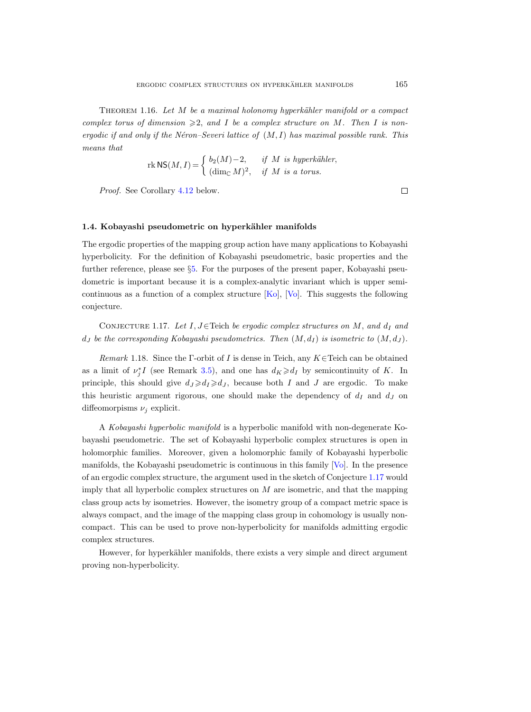THEOREM 1.16. Let  $M$  be a maximal holonomy hyperkähler manifold or a compact complex torus of dimension  $\geqslant 2$ , and I be a complex structure on M. Then I is nonergodic if and only if the Néron–Severi lattice of  $(M, I)$  has maximal possible rank. This means that

rk NS
$$
(M, I)
$$
 =  $\begin{cases} b_2(M) - 2, & \text{if } M \text{ is hyperkähler,} \\ (\dim_{\mathbb{C}} M)^2, & \text{if } M \text{ is a torus.} \end{cases}$ 

Proof. See Corollary [4.12](#page-14-0) below.

 $\Box$ 

# <span id="page-4-0"></span>1.4. Kobayashi pseudometric on hyperkähler manifolds

The ergodic properties of the mapping group action have many applications to Kobayashi hyperbolicity. For the definition of Kobayashi pseudometric, basic properties and the further reference, please see §[5.](#page-17-0) For the purposes of the present paper, Kobayashi pseudometric is important because it is a complex-analytic invariant which is upper semicontinuous as a function of a complex structure  $[Ko]$ ,  $[Vo]$ . This suggests the following conjecture.

<span id="page-4-1"></span>CONJECTURE 1.17. Let I, J∈Teich be ergodic complex structures on M, and  $d_I$  and  $d_J$  be the corresponding Kobayashi pseudometrics. Then  $(M, d_I)$  is isometric to  $(M, d_J)$ .

Remark 1.18. Since the Γ-orbit of I is dense in Teich, any  $K \in$  Teich can be obtained as a limit of  $\nu_j^* I$  (see Remark [3.5\)](#page-9-3), and one has  $d_K \geqslant d_I$  by semicontinuity of K. In principle, this should give  $d_J \geq d_I \geq d_J$ , because both I and J are ergodic. To make this heuristic argument rigorous, one should make the dependency of  $d_I$  and  $d_J$  on diffeomorpisms  $\nu_i$  explicit.

A Kobayashi hyperbolic manifold is a hyperbolic manifold with non-degenerate Kobayashi pseudometric. The set of Kobayashi hyperbolic complex structures is open in holomorphic families. Moreover, given a holomorphic family of Kobayashi hyperbolic manifolds, the Kobayashi pseudometric is continuous in this family [\[Vo\]](#page-21-4). In the presence of an ergodic complex structure, the argument used in the sketch of Conjecture [1.17](#page-4-1) would imply that all hyperbolic complex structures on  $M$  are isometric, and that the mapping class group acts by isometries. However, the isometry group of a compact metric space is always compact, and the image of the mapping class group in cohomology is usually noncompact. This can be used to prove non-hyperbolicity for manifolds admitting ergodic complex structures.

However, for hyperkähler manifolds, there exists a very simple and direct argument proving non-hyperbolicity.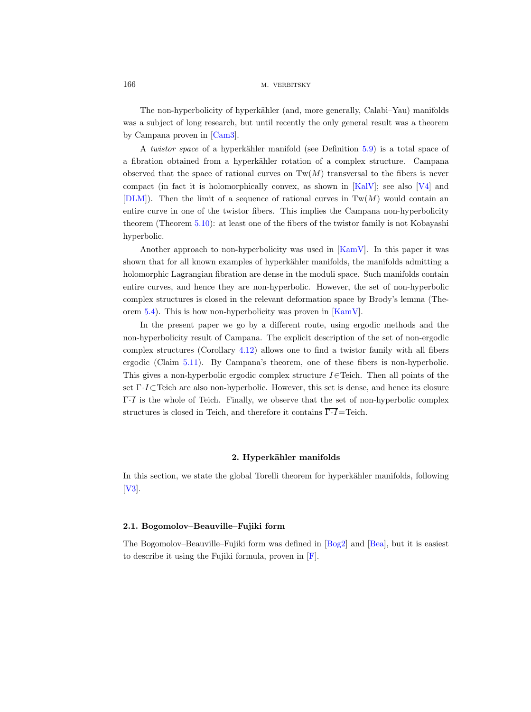The non-hyperbolicity of hyperkähler (and, more generally, Calabi–Yau) manifolds was a subject of long research, but until recently the only general result was a theorem by Campana proven in [\[Cam3\]](#page-20-6).

A *twistor space* of a hyperkähler manifold (see Definition  $5.9$ ) is a total space of a fibration obtained from a hyperkähler rotation of a complex structure. Campana observed that the space of rational curves on  $Tw(M)$  transversal to the fibers is never compact (in fact it is holomorphically convex, as shown in [\[KalV\]](#page-20-7); see also [\[V4\]](#page-21-5) and  $[DLM]$ . Then the limit of a sequence of rational curves in Tw(M) would contain an entire curve in one of the twistor fibers. This implies the Campana non-hyperbolicity theorem (Theorem [5.10\)](#page-18-1): at least one of the fibers of the twistor family is not Kobayashi hyperbolic.

Another approach to non-hyperbolicity was used in [\[KamV\]](#page-20-0). In this paper it was shown that for all known examples of hyperkähler manifolds, the manifolds admitting a holomorphic Lagrangian fibration are dense in the moduli space. Such manifolds contain entire curves, and hence they are non-hyperbolic. However, the set of non-hyperbolic complex structures is closed in the relevant deformation space by Brody's lemma (Theorem [5.4\)](#page-17-1). This is how non-hyperbolicity was proven in [\[KamV\]](#page-20-0).

In the present paper we go by a different route, using ergodic methods and the non-hyperbolicity result of Campana. The explicit description of the set of non-ergodic complex structures (Corollary [4.12\)](#page-14-0) allows one to find a twistor family with all fibers ergodic (Claim [5.11\)](#page-18-2). By Campana's theorem, one of these fibers is non-hyperbolic. This gives a non-hyperbolic ergodic complex structure  $I\in$  Teich. Then all points of the set Γ·I⊂Teich are also non-hyperbolic. However, this set is dense, and hence its closure  $\overline{\Gamma I}$  is the whole of Teich. Finally, we observe that the set of non-hyperbolic complex structures is closed in Teich, and therefore it contains  $\overline{\Gamma \cdot I}$ =Teich.

## 2. Hyperkähler manifolds

<span id="page-5-0"></span>In this section, we state the global Torelli theorem for hyperkähler manifolds, following [\[V3\]](#page-21-1).

# 2.1. Bogomolov–Beauville–Fujiki form

<span id="page-5-1"></span>The Bogomolov–Beauville–Fujiki form was defined in [\[Bog2\]](#page-19-4) and [\[Bea\]](#page-19-2), but it is easiest to describe it using the Fujiki formula, proven in [\[F\]](#page-20-9).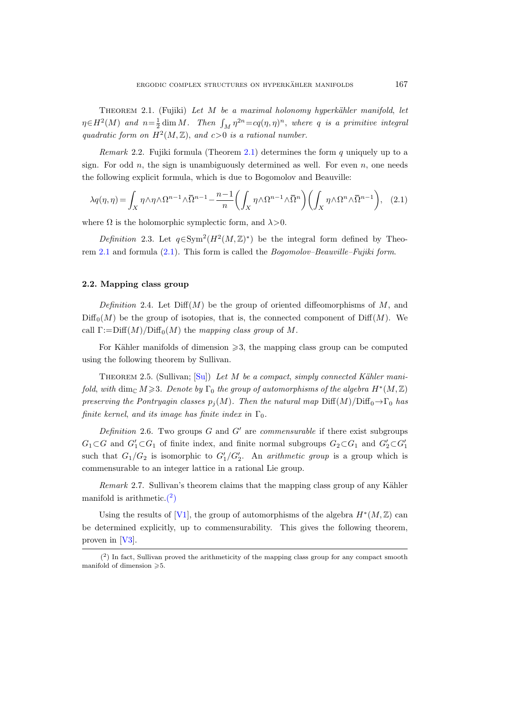THEOREM 2.1. (Fujiki) Let  $M$  be a maximal holonomy hyperkähler manifold, let  $\eta \in H^2(M)$  and  $n = \frac{1}{2} \dim M$ . Then  $\int_M \eta^{2n} = cq(\eta, \eta)^n$ , where q is a primitive integral quadratic form on  $H^2(M, \mathbb{Z})$ , and  $c > 0$  is a rational number.

*Remark* 2.2. Fujiki formula (Theorem [2.1\)](#page-5-1) determines the form q uniquely up to a sign. For odd  $n$ , the sign is unambiguously determined as well. For even  $n$ , one needs the following explicit formula, which is due to Bogomolov and Beauville:

<span id="page-6-0"></span>
$$
\lambda q(\eta, \eta) = \int_X \eta \wedge \eta \wedge \Omega^{n-1} \wedge \overline{\Omega}^{n-1} - \frac{n-1}{n} \left( \int_X \eta \wedge \Omega^{n-1} \wedge \overline{\Omega}^n \right) \left( \int_X \eta \wedge \Omega^n \wedge \overline{\Omega}^{n-1} \right), \quad (2.1)
$$

where  $\Omega$  is the holomorphic symplectic form, and  $\lambda > 0$ .

Definition 2.3. Let  $q \in \text{Sym}^2(H^2(M,\mathbb{Z})^*)$  be the integral form defined by Theorem [2.1](#page-5-1) and formula [\(2.1\)](#page-6-0). This form is called the Bogomolov–Beauville–Fujiki form.

### 2.2. Mapping class group

Definition 2.4. Let  $\text{Diff}(M)$  be the group of oriented diffeomorphisms of M, and  $\text{Diff}_0(M)$  be the group of isotopies, that is, the connected component of Diff(M). We call  $\Gamma := \text{Diff}(M)/\text{Diff}_0(M)$  the mapping class group of M.

For Kähler manifolds of dimension  $\geqslant$ 3, the mapping class group can be computed using the following theorem by Sullivan.

THEOREM 2.5. (Sullivan; [\[Su\]](#page-21-6)) Let M be a compact, simply connected Kähler manifold, with  $\dim_{\mathbb{C}} M \geq 3$ . Denote by  $\Gamma_0$  the group of automorphisms of the algebra  $H^*(M, \mathbb{Z})$ preserving the Pontryagin classes  $p_i(M)$ . Then the natural map Diff $(M)/\text{Diff}_0 \rightarrow \Gamma_0$  has finite kernel, and its image has finite index in  $\Gamma_0$ .

Definition 2.6. Two groups  $G$  and  $G'$  are commensurable if there exist subgroups  $G_1 \subset G$  and  $G'_1 \subset G_1$  of finite index, and finite normal subgroups  $G_2 \subset G_1$  and  $G'_2 \subset G'_1$ such that  $G_1/G_2$  is isomorphic to  $G'_1/G'_2$ . An *arithmetic group* is a group which is commensurable to an integer lattice in a rational Lie group.

 $Remark 2.7. Sullivan's theorem claims that the mapping class group of any Kähler$ manifold is arithmetic. $(2)$ 

Using the results of [\[V1\]](#page-21-7), the group of automorphisms of the algebra  $H^*(M, \mathbb{Z})$  can be determined explicitly, up to commensurability. This gives the following theorem, proven in [\[V3\]](#page-21-1).

<span id="page-6-1"></span> $(2)$  In fact, Sullivan proved the arithmeticity of the mapping class group for any compact smooth manifold of dimension  $\geqslant 5$ .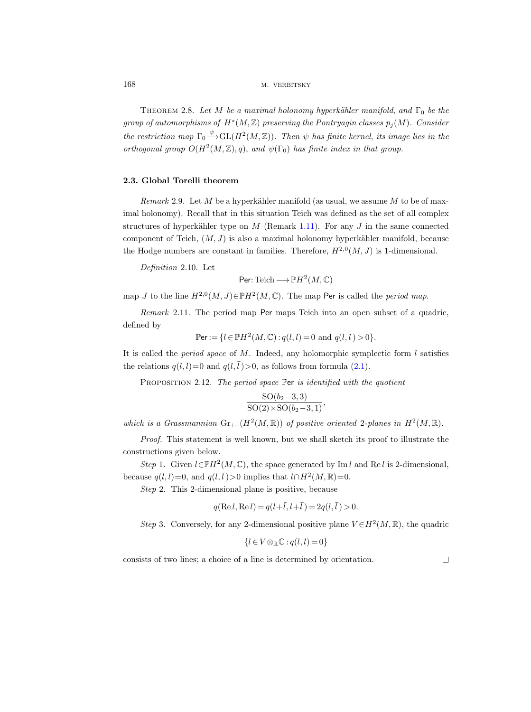<span id="page-7-0"></span>THEOREM 2.8. Let M be a maximal holonomy hyperkähler manifold, and  $\Gamma_0$  be the group of automorphisms of  $H^*(M,\mathbb{Z})$  preserving the Pontryagin classes  $p_j(M)$ . Consider the restriction map  $\Gamma_0 \stackrel{\psi}{\longrightarrow} GL(H^2(M,\mathbb{Z}))$ . Then  $\psi$  has finite kernel, its image lies in the orthogonal group  $O(H^2(M,\mathbb{Z}),q)$ , and  $\psi(\Gamma_0)$  has finite index in that group.

# 2.3. Global Torelli theorem

Remark 2.9. Let M be a hyperkähler manifold (as usual, we assume M to be of maximal holonomy). Recall that in this situation Teich was defined as the set of all complex structures of hyperkähler type on M (Remark [1.11\)](#page-3-2). For any J in the same connected component of Teich,  $(M, J)$  is also a maximal holonomy hyperkähler manifold, because the Hodge numbers are constant in families. Therefore,  $H^{2,0}(M, J)$  is 1-dimensional.

Definition 2.10. Let

$$
\text{Per:} \operatorname{Teich} \longrightarrow \mathbb{P}H^2(M,\mathbb{C})
$$

map J to the line  $H^{2,0}(M,J) \in \mathbb{P}H^2(M,\mathbb{C})$ . The map Per is called the *period map*.

Remark 2.11. The period map Per maps Teich into an open subset of a quadric, defined by

$$
\mathbb{P}\text{er} := \{l \in \mathbb{P}H^2(M, \mathbb{C}) : q(l, l) = 0 \text{ and } q(l, \bar{l}) > 0\}.
$$

It is called the *period space* of  $M$ . Indeed, any holomorphic symplectic form  $l$  satisfies the relations  $q(l, l)=0$  and  $q(l, \bar{l})>0$ , as follows from formula [\(2.1\)](#page-6-0).

<span id="page-7-1"></span>PROPOSITION 2.12. The period space Per is identified with the quotient

$$
\frac{\mathrm{SO}(b_2-3,3)}{\mathrm{SO}(2)\times \mathrm{SO}(b_2-3,1)},
$$

which is a Grassmannian  $\text{Gr}_{++}(H^2(M,\mathbb{R}))$  of positive oriented 2-planes in  $H^2(M,\mathbb{R})$ .

Proof. This statement is well known, but we shall sketch its proof to illustrate the constructions given below.

Step 1. Given  $l \in \mathbb{P}H^2(M,\mathbb{C})$ , the space generated by Im l and Re l is 2-dimensional, because  $q(l, l) = 0$ , and  $q(l, \bar{l}) > 0$  implies that  $l \cap H^2(M, \mathbb{R}) = 0$ .

Step 2. This 2-dimensional plane is positive, because

$$
q(\text{Re } l, \text{Re } l) = q(l+\bar{l}, l+\bar{l}) = 2q(l, \bar{l}) > 0.
$$

Step 3. Conversely, for any 2-dimensional positive plane  $V \in H^2(M, \mathbb{R})$ , the quadric

$$
\{l \in V \otimes_{\mathbb{R}} \mathbb{C} : q(l, l) = 0\}
$$

consists of two lines; a choice of a line is determined by orientation.

 $\Box$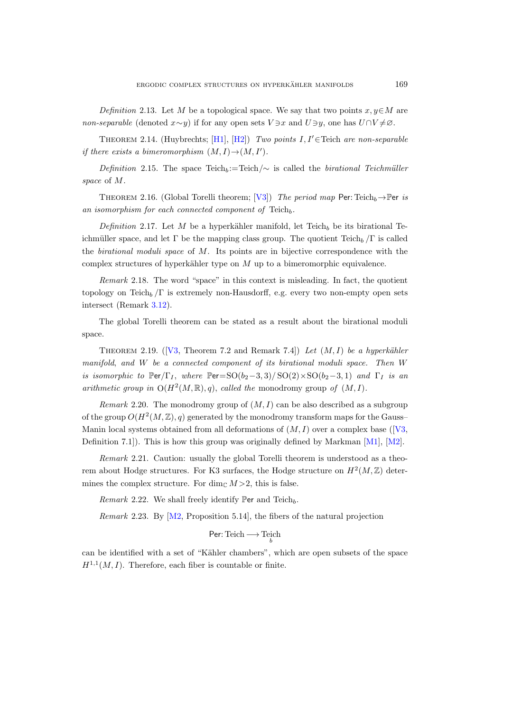Definition 2.13. Let M be a topological space. We say that two points  $x, y \in M$  are non-separable (denoted  $x \sim y$ ) if for any open sets  $V \ni x$  and  $U \ni y$ , one has  $U \cap V \neq \emptyset$ .

<span id="page-8-2"></span>THEOREM 2.14. (Huybrechts; [\[H1\]](#page-20-10), [\[H2\]](#page-20-11)) Two points  $I, I' \in$  Teich are non-separable if there exists a bimeromorphism  $(M, I) \rightarrow (M, I').$ 

Definition 2.15. The space Teich<sub>b</sub>:=Teich $\sim$  is called the birational Teichmüller space of M.

THEOREM 2.16. (Global Torelli theorem; [\[V3\]](#page-21-1)) The period map Per: Teich<sub>h</sub> $\rightarrow$  Per is an isomorphism for each connected component of  $\text{Teich}_b$ .

Definition 2.17. Let M be a hyperkähler manifold, let Teich<sub>b</sub> be its birational Teichmüller space, and let Γ be the mapping class group. The quotient  $Teich_b / \Gamma$  is called the birational moduli space of M. Its points are in bijective correspondence with the complex structures of hyperkähler type on  $M$  up to a bimeromorphic equivalence.

Remark 2.18. The word "space" in this context is misleading. In fact, the quotient topology on Teich<sub>b</sub>  $\Gamma$  is extremely non-Hausdorff, e.g. every two non-empty open sets intersect (Remark [3.12\)](#page-11-0).

The global Torelli theorem can be stated as a result about the birational moduli space.

<span id="page-8-1"></span>THEOREM2.19. ([\[V3,](#page-21-1) Theorem 7.2 and Remark 7.4]) Let  $(M, I)$  be a hyperkähler manifold, and W be a connected component of its birational moduli space. Then W is isomorphic to  $\mathbb{P}er/\Gamma_I$ , where  $\mathbb{P}er=\mathrm{SO}(b_2-3,3)/\mathrm{SO}(2)\times \mathrm{SO}(b_2-3,1)$  and  $\Gamma_I$  is an arithmetic group in  $O(H^2(M,\mathbb{R}), q)$ , called the monodromy group of  $(M, I)$ .

*Remark* 2.20. The monodromy group of  $(M, I)$  can be also described as a subgroup of the group  $O(H^2(M,\mathbb{Z}), q)$  generated by the monodromy transform maps for the GaussManinlocal systems obtained from all deformations of  $(M, I)$  over a complex base ([\[V3,](#page-21-1) Definition 7.1]). This is how this group was originally defined by Markman  $[M1]$ ,  $[M2]$ .

Remark 2.21. Caution: usually the global Torelli theorem is understood as a theorem about Hodge structures. For K3 surfaces, the Hodge structure on  $H^2(M, \mathbb{Z})$  determines the complex structure. For dim<sub>C</sub>  $M > 2$ , this is false.

Remark 2.22. We shall freely identify Per and Teich<sub>h</sub>.

<span id="page-8-0"></span>*Remark* 2.23. By  $[M2,$  Proposition 5.14, the fibers of the natural projection

$$
\mathsf{Per}\text{:} \mathsf{Teich} \longrightarrow \mathsf{Teich}_{b}
$$

can be identified with a set of "Kähler chambers", which are open subsets of the space  $H^{1,1}(M, I)$ . Therefore, each fiber is countable or finite.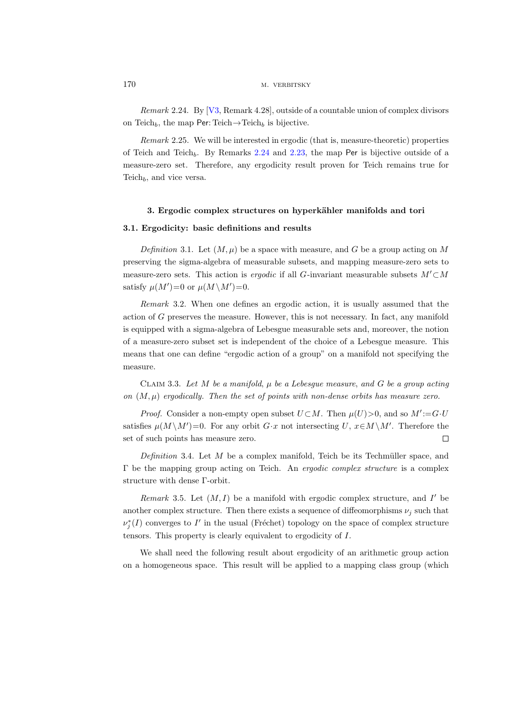<span id="page-9-4"></span>Remark 2.24. By [\[V3,](#page-21-1) Remark 4.28], outside of a countable union of complex divisors on Teich<sub>b</sub>, the map Per: Teich $\rightarrow$ Teich<sub>b</sub> is bijective.

<span id="page-9-5"></span>Remark 2.25. We will be interested in ergodic (that is, measure-theoretic) properties of Teich and Teich<sub>b</sub>. By Remarks [2.24](#page-9-4) and [2.23,](#page-8-0) the map Per is bijective outside of a measure-zero set. Therefore, any ergodicity result proven for Teich remains true for Teich<sub>b</sub>, and vice versa.

### 3. Ergodic complex structures on hyperkähler manifolds and tori

# <span id="page-9-0"></span>3.1. Ergodicity: basic definitions and results

Definition 3.1. Let  $(M, \mu)$  be a space with measure, and G be a group acting on M preserving the sigma-algebra of measurable subsets, and mapping measure-zero sets to measure-zero sets. This action is *ergodic* if all G-invariant measurable subsets  $M'\subset M$ satisfy  $\mu(M')=0$  or  $\mu(M\setminus M')=0$ .

<span id="page-9-2"></span>Remark 3.2. When one defines an ergodic action, it is usually assumed that the action of G preserves the measure. However, this is not necessary. In fact, any manifold is equipped with a sigma-algebra of Lebesgue measurable sets and, moreover, the notion of a measure-zero subset set is independent of the choice of a Lebesgue measure. This means that one can define "ergodic action of a group" on a manifold not specifying the measure.

<span id="page-9-1"></span>CLAIM 3.3. Let M be a manifold,  $\mu$  be a Lebesgue measure, and G be a group acting on  $(M, \mu)$  ergodically. Then the set of points with non-dense orbits has measure zero.

*Proof.* Consider a non-empty open subset  $U \subset M$ . Then  $\mu(U) > 0$ , and so  $M' := G \cdot U$ satisfies  $\mu(M \setminus M') = 0$ . For any orbit G·x not intersecting U,  $x \in M \setminus M'$ . Therefore the set of such points has measure zero.  $\Box$ 

Definition 3.4. Let  $M$  be a complex manifold, Teich be its Techmüller space, and Γ be the mapping group acting on Teich. An ergodic complex structure is a complex structure with dense Γ-orbit.

<span id="page-9-3"></span>Remark 3.5. Let  $(M, I)$  be a manifold with ergodic complex structure, and I' be another complex structure. Then there exists a sequence of diffeomorphisms  $\nu_i$  such that  $\nu_j^*(I)$  converges to I' in the usual (Fréchet) topology on the space of complex structure tensors. This property is clearly equivalent to ergodicity of I.

We shall need the following result about ergodicity of an arithmetic group action on a homogeneous space. This result will be applied to a mapping class group (which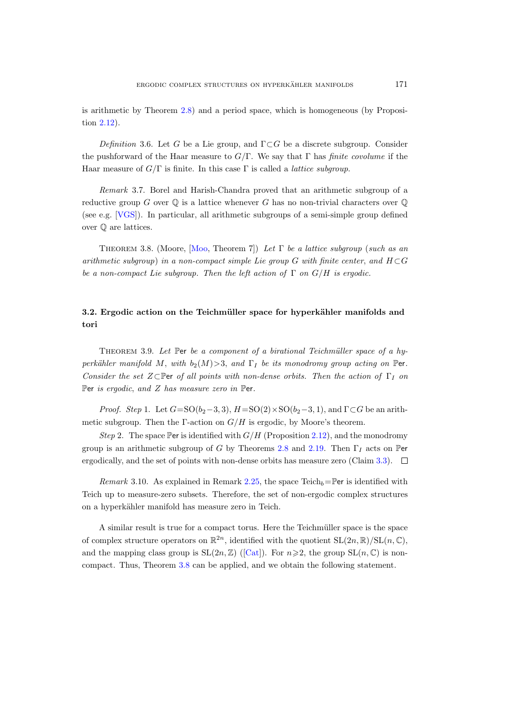is arithmetic by Theorem [2.8\)](#page-7-0) and a period space, which is homogeneous (by Proposition [2.12\)](#page-7-1).

Definition 3.6. Let G be a Lie group, and  $\Gamma \subset G$  be a discrete subgroup. Consider the pushforward of the Haar measure to  $G/\Gamma$ . We say that  $\Gamma$  has *finite covolume* if the Haar measure of  $G/\Gamma$  is finite. In this case  $\Gamma$  is called a *lattice subgroup*.

Remark 3.7. Borel and Harish-Chandra proved that an arithmetic subgroup of a reductive group G over  $\mathbb Q$  is a lattice whenever G has no non-trivial characters over  $\mathbb Q$ (see e.g. [\[VGS\]](#page-21-8)). In particular, all arithmetic subgroups of a semi-simple group defined over Q are lattices.

<span id="page-10-2"></span>THEOREM 3.8. (Moore, [\[Moo,](#page-20-4) Theorem 7]) Let  $\Gamma$  be a lattice subgroup (such as an arithmetic subgroup) in a non-compact simple Lie group G with finite center, and  $H\subset G$ be a non-compact Lie subgroup. Then the left action of  $\Gamma$  on  $G/H$  is ergodic.

# 3.2. Ergodic action on the Teichmüller space for hyperkähler manifolds and tori

<span id="page-10-0"></span>THEOREM 3.9. Let Per be a component of a birational Teichmüller space of a hyperkähler manifold M, with  $b_2(M) > 3$ , and  $\Gamma_I$  be its monodromy group acting on Per. Consider the set  $Z \subseteq \mathbb{P}$ er of all points with non-dense orbits. Then the action of  $\Gamma_I$  on Per is ergodic, and Z has measure zero in Per.

*Proof.* Step 1. Let  $G=\text{SO}(b_2-3,3)$ ,  $H=\text{SO}(2)\times \text{SO}(b_2-3,1)$ , and  $\Gamma\subset G$  be an arithmetic subgroup. Then the Γ-action on  $G/H$  is ergodic, by Moore's theorem.

Step 2. The space Per is identified with  $G/H$  (Proposition [2.12\)](#page-7-1), and the monodromy group is an arithmetic subgroup of G by Theorems [2.8](#page-7-0) and [2.19.](#page-8-1) Then  $\Gamma_I$  acts on Per ergodically, and the set of points with non-dense orbits has measure zero (Claim [3.3\)](#page-9-1).  $\square$ 

<span id="page-10-1"></span>Remark 3.10. As explained in Remark [2.25,](#page-9-5) the space Teich<sub>b</sub>=Per is identified with Teich up to measure-zero subsets. Therefore, the set of non-ergodic complex structures on a hyperkähler manifold has measure zero in Teich.

A similar result is true for a compact torus. Here the Teichmüller space is the space of complex structure operators on  $\mathbb{R}^{2n}$ , identified with the quotient  $SL(2n,\mathbb{R})/SL(n,\mathbb{C})$ , andthe mapping class group is  $SL(2n,\mathbb{Z})$  ([\[Cat\]](#page-20-2)). For  $n\geqslant 2$ , the group  $SL(n,\mathbb{C})$  is noncompact. Thus, Theorem [3.8](#page-10-2) can be applied, and we obtain the following statement.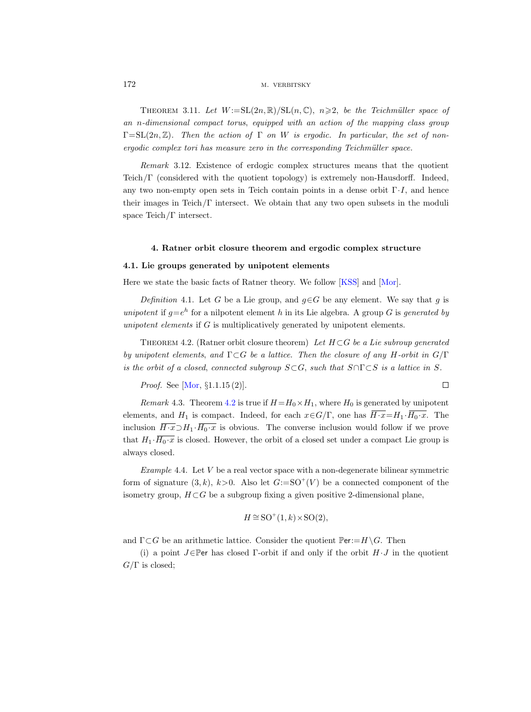### 172 M. VERBITSKY

THEOREM 3.11. Let  $W := SL(2n, \mathbb{R})/SL(n, \mathbb{C}), n \geq 2$ , be the Teichmüller space of an n-dimensional compact torus, equipped with an action of the mapping class group  $\Gamma=\mathrm{SL}(2n,\mathbb{Z})$ . Then the action of  $\Gamma$  on W is ergodic. In particular, the set of nonergodic complex tori has measure zero in the corresponding Teichmüller space.

<span id="page-11-0"></span>Remark 3.12. Existence of erdogic complex structures means that the quotient Teich/Γ (considered with the quotient topology) is extremely non-Hausdorff. Indeed, any two non-empty open sets in Teich contain points in a dense orbit  $\Gamma \cdot I$ , and hence their images in Teich/ $\Gamma$  intersect. We obtain that any two open subsets in the moduli space Teich/Γ intersect.

## 4. Ratner orbit closure theorem and ergodic complex structure

# 4.1. Lie groups generated by unipotent elements

Here we state the basic facts of Ratner theory. We follow [\[KSS\]](#page-20-14) and [\[Mor\]](#page-20-15).

Definition 4.1. Let G be a Lie group, and  $g \in G$  be any element. We say that g is unipotent if  $g=e^h$  for a nilpotent element h in its Lie algebra. A group G is generated by unipotent elements if G is multiplicatively generated by unipotent elements.

<span id="page-11-1"></span>THEOREM 4.2. (Ratner orbit closure theorem) Let  $H \subset G$  be a Lie subroup generated by unipotent elements, and  $\Gamma \subset G$  be a lattice. Then the closure of any H-orbit in  $G/\Gamma$ is the orbit of a closed, connected subgroup  $S \subset G$ , such that  $S \cap \Gamma \subset S$  is a lattice in S.

*Proof.* See [Mor, §1.1.15(2)]. 
$$
\Box
$$

*Remark* 4.3. Theorem [4.2](#page-11-1) is true if  $H=H_0\times H_1$ , where  $H_0$  is generated by unipotent elements, and  $H_1$  is compact. Indeed, for each  $x \in G/\Gamma$ , one has  $\overline{H \cdot x} = H_1 \cdot \overline{H_0 \cdot x}$ . The inclusion  $\overline{H \cdot x} \supset H_1 \cdot \overline{H_0 \cdot x}$  is obvious. The converse inclusion would follow if we prove that  $H_1 \cdot \overline{H_0 \cdot x}$  is closed. However, the orbit of a closed set under a compact Lie group is always closed.

Example 4.4. Let  $V$  be a real vector space with a non-degenerate bilinear symmetric form of signature  $(3, k)$ ,  $k > 0$ . Also let  $G := SO^+(V)$  be a connected component of the isometry group,  $H \subset G$  be a subgroup fixing a given positive 2-dimensional plane,

$$
H \cong \text{SO}^+(1,k) \times \text{SO}(2),
$$

and  $\Gamma \subset G$  be an arithmetic lattice. Consider the quotient  $\mathbb{P}\text{er}:=H\backslash G$ . Then

(i) a point  $J \in \mathbb{P}$ er has closed Γ-orbit if and only if the orbit  $H \cdot J$  in the quotient  $G/\Gamma$  is closed;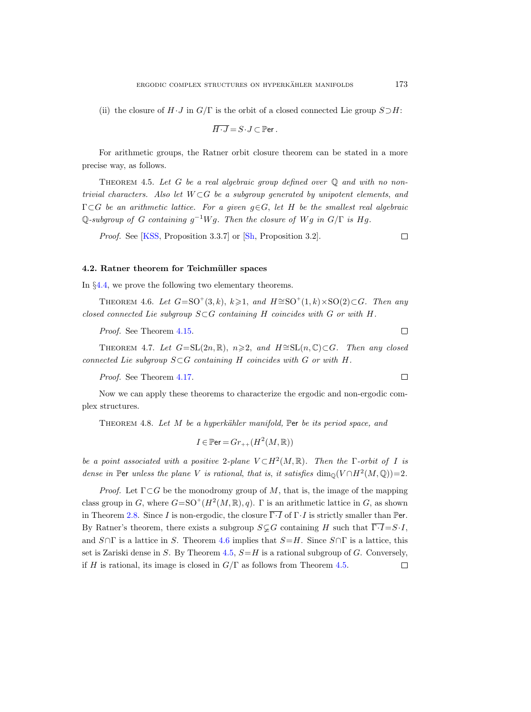(ii) the closure of  $H \cdot J$  in  $G/\Gamma$  is the orbit of a closed connected Lie group  $S \supset H$ :

$$
\overline{H \cdot J} = S \cdot J \subset \mathbb{P}\text{er}.
$$

For arithmetic groups, the Ratner orbit closure theorem can be stated in a more precise way, as follows.

<span id="page-12-1"></span>THEOREM 4.5. Let G be a real algebraic group defined over  $\mathbb Q$  and with no nontrivial characters. Also let  $W \subset G$  be a subgroup generated by unipotent elements, and  $\Gamma \subset G$  be an arithmetic lattice. For a given  $g \in G$ , let H be the smallest real algebraic Q-subgroup of G containing  $g^{-1}Wg$ . Then the closure of Wg in  $G/\Gamma$  is Hg.

Proof. See [\[KSS,](#page-20-14) Proposition 3.3.7] or [\[Sh,](#page-21-9) Proposition 3.2].  $\Box$ 

# 4.2. Ratner theorem for Teichmüller spaces

In §[4.4,](#page-16-0) we prove the following two elementary theorems.

<span id="page-12-0"></span>THEOREM 4.6. Let  $G = SO^+(3, k)$ ,  $k \geq 1$ , and  $H \cong SO^+(1, k) \times SO(2) \subset G$ . Then any closed connected Lie subgroup  $S\subset G$  containing H coincides with G or with H.

Proof. See Theorem [4.15.](#page-16-1)

THEOREM 4.7. Let  $G=\mathrm{SL}(2n,\mathbb{R})$ ,  $n\geqslant 2$ , and  $H\cong \mathrm{SL}(n,\mathbb{C})\subset G$ . Then any closed connected Lie subgroup  $S\subset G$  containing H coincides with G or with H.

Proof. See Theorem [4.17.](#page-16-2)

Now we can apply these theorems to characterize the ergodic and non-ergodic complex structures.

<span id="page-12-2"></span>THEOREM 4.8. Let M be a hyperkähler manifold, Per be its period space, and

$$
I \in \mathbb{P}\text{er} = Gr_{++}(H^2(M, \mathbb{R}))
$$

be a point associated with a positive 2-plane  $V \subset H^2(M, \mathbb{R})$ . Then the  $\Gamma$ -orbit of I is dense in Per unless the plane V is rational, that is, it satisfies  $\dim_{\mathbb{Q}}(V \cap H^2(M, \mathbb{Q})) = 2$ .

*Proof.* Let  $\Gamma \subset G$  be the monodromy group of M, that is, the image of the mapping class group in G, where  $G = SO^+(H^2(M, \mathbb{R}), q)$ .  $\Gamma$  is an arithmetic lattice in G, as shown in Theorem [2.8.](#page-7-0) Since I is non-ergodic, the closure  $\overline{\Gamma \cdot I}$  of  $\Gamma \cdot I$  is strictly smaller than Per. By Ratner's theorem, there exists a subgroup  $S \subsetneq G$  containing H such that  $\overline{\Gamma \cdot I} = S \cdot I$ , and  $S \cap \Gamma$  is a lattice in S. Theorem [4.6](#page-12-0) implies that  $S=H$ . Since  $S \cap \Gamma$  is a lattice, this set is Zariski dense in S. By Theorem [4.5,](#page-12-1)  $S=H$  is a rational subgroup of G. Conversely, if H is rational, its image is closed in  $G/\Gamma$  as follows from Theorem [4.5.](#page-12-1)  $\Box$ 

 $\Box$ 

 $\Box$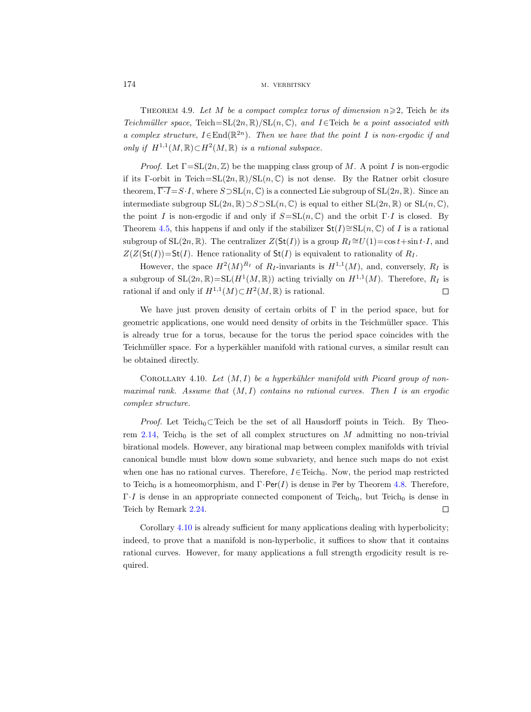174 M. VERBITSKY

<span id="page-13-1"></span>THEOREM 4.9. Let M be a compact complex torus of dimension  $n \geqslant 2$ , Teich be its Teichmüller space, Teich=SL(2n, R)/SL(n, C), and I∈Teich be a point associated with a complex structure,  $I \in \text{End}(\mathbb{R}^{2n})$ . Then we have that the point I is non-ergodic if and only if  $H^{1,1}(M,\mathbb{R}) \subset H^2(M,\mathbb{R})$  is a rational subspace.

*Proof.* Let  $\Gamma = SL(2n, \mathbb{Z})$  be the mapping class group of M. A point I is non-ergodic if its Γ-orbit in Teich=SL $(2n, \mathbb{R})$ /SL $(n, \mathbb{C})$  is not dense. By the Ratner orbit closure theorem,  $\overline{\Gamma \cdot I} = S \cdot I$ , where  $S \supset \text{SL}(n, \mathbb{C})$  is a connected Lie subgroup of  $\text{SL}(2n, \mathbb{R})$ . Since an intermediate subgroup  $SL(2n, \mathbb{R})$   $\supset S \supset SL(n, \mathbb{C})$  is equal to either  $SL(2n, \mathbb{R})$  or  $SL(n, \mathbb{C})$ , the point I is non-ergodic if and only if  $S = SL(n, \mathbb{C})$  and the orbit  $\Gamma \cdot I$  is closed. By Theorem [4.5,](#page-12-1) this happens if and only if the stabilizer  $St(I) \cong SL(n, \mathbb{C})$  of I is a rational subgroup of SL $(2n, \mathbb{R})$ . The centralizer  $Z(St(I))$  is a group  $R_I \cong U(1) = \cos t + \sin t \cdot I$ , and  $Z(Z(\mathsf{St}(I))=\mathsf{St}(I))$ . Hence rationality of  $\mathsf{St}(I)$  is equivalent to rationality of  $R_I$ .

However, the space  $H^2(M)^{R_I}$  of  $R_I$ -invariants is  $H^{1,1}(M)$ , and, conversely,  $R_I$  is a subgroup of  $SL(2n,\mathbb{R})=SL(H^1(M,\mathbb{R}))$  acting trivially on  $H^{1,1}(M)$ . Therefore,  $R_I$  is rational if and only if  $H^{1,1}(M) \subset H^2(M, \mathbb{R})$  is rational.  $\Box$ 

We have just proven density of certain orbits of  $\Gamma$  in the period space, but for geometric applications, one would need density of orbits in the Teichmüller space. This is already true for a torus, because for the torus the period space coincides with the Teichmüller space. For a hyperkähler manifold with rational curves, a similar result can be obtained directly.

<span id="page-13-0"></span>COROLLARY 4.10. Let  $(M, I)$  be a hyperkähler manifold with Picard group of nonmaximal rank. Assume that  $(M, I)$  contains no rational curves. Then I is an ergodic complex structure.

*Proof.* Let Teich<sub>0</sub>⊂Teich be the set of all Hausdorff points in Teich. By Theo-rem [2.14,](#page-8-2) Teich<sub>0</sub> is the set of all complex structures on M admitting no non-trivial birational models. However, any birational map between complex manifolds with trivial canonical bundle must blow down some subvariety, and hence such maps do not exist when one has no rational curves. Therefore,  $I \in Teich_0$ . Now, the period map restricted to Teich<sub>0</sub> is a homeomorphism, and  $\Gamma$ ·Per(I) is dense in Per by Theorem [4.8.](#page-12-2) Therefore,  $\Gamma I$  is dense in an appropriate connected component of Teich<sub>0</sub>, but Teich<sub>0</sub> is dense in Teich by Remark [2.24.](#page-9-4)  $\Box$ 

<span id="page-13-2"></span>Corollary [4.10](#page-13-0) is already sufficient for many applications dealing with hyperbolicity; indeed, to prove that a manifold is non-hyperbolic, it suffices to show that it contains rational curves. However, for many applications a full strength ergodicity result is required.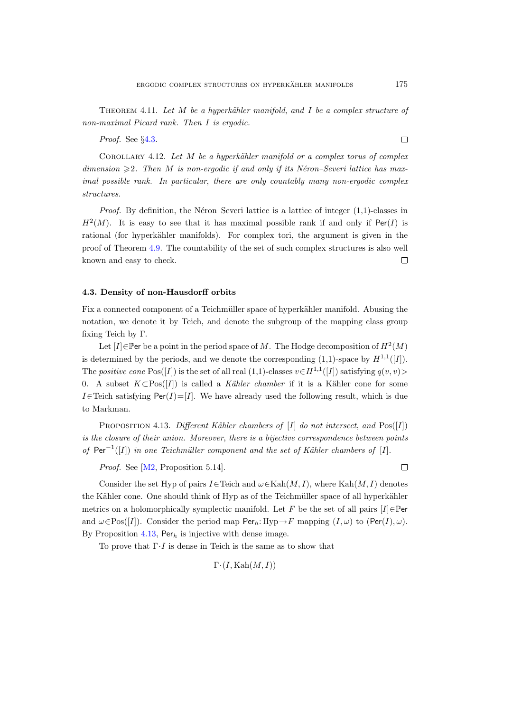THEOREM 4.11. Let  $M$  be a hyperkähler manifold, and  $I$  be a complex structure of non-maximal Picard rank. Then I is ergodic.

Proof. See §[4.3.](#page-14-1)

<span id="page-14-0"></span>COROLLARY 4.12. Let  $M$  be a hyperkähler manifold or a complex torus of complex dimension  $\geq 2$ . Then M is non-ergodic if and only if its Néron–Severi lattice has maximal possible rank. In particular, there are only countably many non-ergodic complex structures.

*Proof.* By definition, the Néron–Severi lattice is a lattice of integer  $(1,1)$ -classes in  $H^2(M)$ . It is easy to see that it has maximal possible rank if and only if Per(I) is rational (for hyperkähler manifolds). For complex tori, the argument is given in the proof of Theorem [4.9.](#page-13-1) The countability of the set of such complex structures is also well known and easy to check.  $\Box$ 

### <span id="page-14-1"></span>4.3. Density of non-Hausdorff orbits

Fix a connected component of a Teichmüller space of hyperkähler manifold. Abusing the notation, we denote it by Teich, and denote the subgroup of the mapping class group fixing Teich by Γ.

Let [I] $\in$  Per be a point in the period space of M. The Hodge decomposition of  $H^2(M)$ is determined by the periods, and we denote the corresponding  $(1,1)$ -space by  $H^{1,1}([I])$ . The positive cone  $Pos([I])$  is the set of all real  $(1,1)$ -classes  $v \in H^{1,1}([I])$  satisfying  $q(v, v)$ 0. A subset  $K \subset Pos([I])$  is called a Kähler chamber if it is a Kähler cone for some I∈Teich satisfying Per(I)=[I]. We have already used the following result, which is due to Markman.

<span id="page-14-2"></span>PROPOSITION 4.13. Different Kähler chambers of  $[I]$  do not intersect, and  $Pos([I])$ is the closure of their union. Moreover, there is a bijective correspondence between points of  $Per^{-1}([I])$  in one Teichmüller component and the set of Kähler chambers of [I].

Proof. See [\[M2,](#page-20-13) Proposition 5.14].

 $\Box$ 

Consider the set Hyp of pairs I∈Teich and  $\omega \in \text{Kah}(M, I)$ , where Kah $(M, I)$  denotes the Kähler cone. One should think of Hyp as of the Teichmüller space of all hyperkähler metrics on a holomorphically symplectic manifold. Let F be the set of all pairs  $[I] \in \mathbb{P}$ er and  $\omega \in \text{Pos}([I])$ . Consider the period map  $\text{Per}_h: \text{Hyp} \to F$  mapping  $(I, \omega)$  to  $(\text{Per}(I), \omega)$ . By Proposition [4.13,](#page-14-2) Per<sub>h</sub> is injective with dense image.

To prove that  $\Gamma \cdot I$  is dense in Teich is the same as to show that

$$
\Gamma\cdot(I,\text{Kah}(M,I))
$$

 $\Box$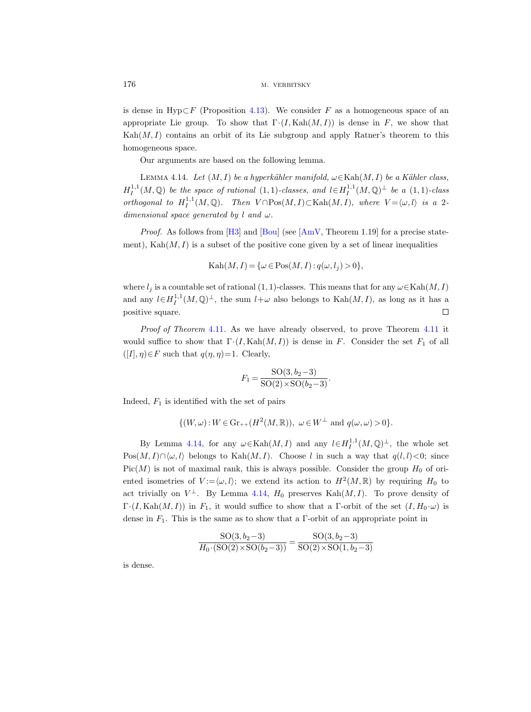is dense in Hyp $\subset F$  (Proposition [4.13\)](#page-14-2). We consider F as a homogeneous space of an appropriate Lie group. To show that  $\Gamma(I, \text{Kah}(M, I))$  is dense in F, we show that  $\text{Kah}(M, I)$  contains an orbit of its Lie subgroup and apply Ratner's theorem to this homogeneous space.

Our arguments are based on the following lemma.

<span id="page-15-0"></span>LEMMA 4.14. Let  $(M, I)$  be a hyperkähler manifold,  $\omega \in \text{Kah}(M, I)$  be a Kähler class,  $H_I^{1,1}(M,\mathbb{Q})$  be the space of rational  $(1,1)$ -classes, and  $l \in H_I^{1,1}(M,\mathbb{Q})^{\perp}$  be a  $(1,1)$ -class orthogonal to  $H_I^{1,1}(M,\mathbb{Q})$ . Then  $V \cap \text{Pos}(M,I) \subset \text{Kah}(M,I)$ , where  $V = \langle \omega, l \rangle$  is a 2dimensional space generated by l and  $\omega$ .

*Proof.* As follows from [\[H3\]](#page-20-16) and [\[Bou\]](#page-19-5) (see [\[AmV,](#page-19-6) Theorem 1.19] for a precise statement),  $\text{Kah}(M, I)$  is a subset of the positive cone given by a set of linear inequalities

Kah $(M, I) = \{ \omega \in Pos(M, I) : q(\omega, l_i) > 0 \},\$ 

where  $l_j$  is a countable set of rational (1, 1)-classes. This means that for any  $\omega \in \text{Kah}(M, I)$ and any  $l \in H_I^{1,1}(M,\mathbb{Q})^{\perp}$ , the sum  $l+\omega$  also belongs to  $\text{Kah}(M,I)$ , as long as it has a positive square.  $\Box$ 

Proof of Theorem [4.11](#page-13-2). As we have already observed, to prove Theorem 4.11 it would suffice to show that  $\Gamma \cdot (I, \text{Kah}(M, I))$  is dense in F. Consider the set  $F_1$  of all  $([I], \eta) \in F$  such that  $q(\eta, \eta) = 1$ . Clearly,

$$
F_1 = \frac{\text{SO}(3, b_2 - 3)}{\text{SO}(2) \times \text{SO}(b_2 - 3)}.
$$

Indeed,  $F_1$  is identified with the set of pairs

$$
\{(W,\omega): W \in \text{Gr}_{++}(H^2(M,\mathbb{R})), \ \omega \in W^{\perp} \text{ and } q(\omega,\omega) > 0\}.
$$

By Lemma [4.14,](#page-15-0) for any  $\omega \in \text{Kah}(M, I)$  and any  $l \in H_I^{1,1}(M, \mathbb{Q})^{\perp}$ , the whole set  $Pos(M, I) \cap \langle \omega, l \rangle$  belongs to Kah $(M, I)$ . Choose l in such a way that  $q(l, l) < 0$ ; since  $Pic(M)$  is not of maximal rank, this is always possible. Consider the group  $H_0$  of oriented isometries of  $V := \langle \omega, l \rangle$ ; we extend its action to  $H^2(M, \mathbb{R})$  by requiring  $H_0$  to act trivially on  $V^{\perp}$ . By Lemma [4.14,](#page-15-0)  $H_0$  preserves Kah $(M, I)$ . To prove density of Γ·(I, Kah(M, I)) in F<sub>1</sub>, it would suffice to show that a Γ-orbit of the set  $(I, H_0 \cdot \omega)$  is dense in  $F_1$ . This is the same as to show that a  $\Gamma$ -orbit of an appropriate point in

$$
\frac{\text{SO}(3, b_2-3)}{H_0 \cdot (\text{SO}(2) \times \text{SO}(b_2-3))} = \frac{\text{SO}(3, b_2-3)}{\text{SO}(2) \times \text{SO}(1, b_2-3)}
$$

is dense.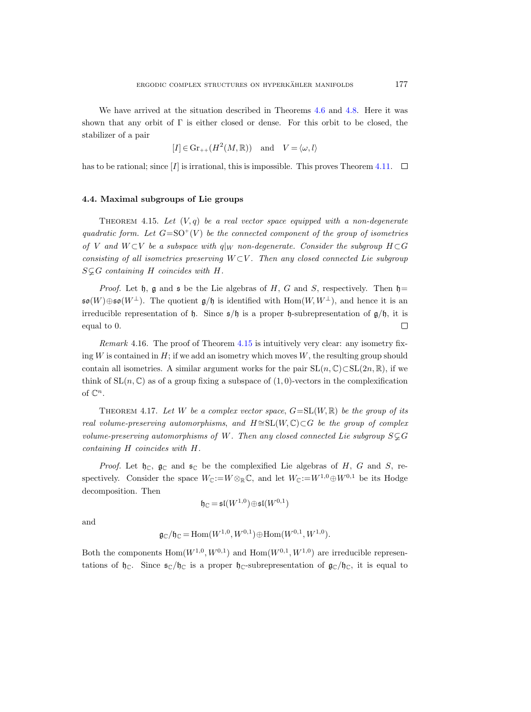We have arrived at the situation described in Theorems [4.6](#page-12-0) and [4.8.](#page-12-2) Here it was shown that any orbit of  $\Gamma$  is either closed or dense. For this orbit to be closed, the stabilizer of a pair

$$
[I] \in \text{Gr}_{++}(H^2(M, \mathbb{R}))
$$
 and  $V = \langle \omega, l \rangle$ 

has to be rational; since [I] is irrational, this is impossible. This proves Theorem [4.11.](#page-13-2)  $\square$ 

# <span id="page-16-0"></span>4.4. Maximal subgroups of Lie groups

<span id="page-16-1"></span>THEOREM 4.15. Let  $(V, q)$  be a real vector space equipped with a non-degenerate quadratic form. Let  $G = SO^+(V)$  be the connected component of the group of isometries of V and  $W\subset V$  be a subspace with  $q|_W$  non-degenerate. Consider the subgroup  $H\subset G$ consisting of all isometries preserving  $W \subset V$ . Then any closed connected Lie subgroup  $S \subsetneq G$  containing H coincides with H.

*Proof.* Let  $\mathfrak{h}$ ,  $\mathfrak{g}$  and  $\mathfrak{s}$  be the Lie algebras of H, G and S, respectively. Then  $\mathfrak{h}$ =  $\mathfrak{so}(W)\oplus\mathfrak{so}(W^{\perp}).$  The quotient  $\mathfrak{g}/\mathfrak{h}$  is identified with  $\text{Hom}(W,W^{\perp})$ , and hence it is an irreducible representation of h. Since  $s/\mathfrak{h}$  is a proper h-subrepresentation of  $g/\mathfrak{h}$ , it is  $\Box$ equal to 0.

Remark 4.16. The proof of Theorem [4.15](#page-16-1) is intuitively very clear: any isometry fixing  $W$  is contained in  $H$ ; if we add an isometry which moves  $W$ , the resulting group should contain all isometries. A similar argument works for the pair  $SL(n, \mathbb{C}) \subset SL(2n, \mathbb{R})$ , if we think of  $SL(n, \mathbb{C})$  as of a group fixing a subspace of  $(1, 0)$ -vectors in the complexification of  $\mathbb{C}^n$ .

<span id="page-16-2"></span>THEOREM 4.17. Let W be a complex vector space,  $G=\mathrm{SL}(W,\mathbb{R})$  be the group of its real volume-preserving automorphisms, and  $H \cong SL(W, \mathbb{C}) \subset G$  be the group of complex volume-preserving automorphisms of W. Then any closed connected Lie subgroup  $S\mathcal{L}G$ containing H coincides with H.

*Proof.* Let  $\mathfrak{h}_{\mathbb{C}}$ ,  $\mathfrak{g}_{\mathbb{C}}$  and  $\mathfrak{s}_{\mathbb{C}}$  be the complexified Lie algebras of H, G and S, respectively. Consider the space  $W_{\mathbb{C}} := W \otimes_{\mathbb{R}} \mathbb{C}$ , and let  $W_{\mathbb{C}} := W^{1,0} \oplus W^{0,1}$  be its Hodge decomposition. Then

$$
\mathfrak{h}_{\mathbb{C}} = \mathfrak{sl}(W^{1,0}) \oplus \mathfrak{sl}(W^{0,1})
$$

and

$$
\mathfrak{g}_{\mathbb{C}}/\mathfrak{h}_{\mathbb{C}} = \text{Hom}(W^{1,0}, W^{0,1}) \oplus \text{Hom}(W^{0,1}, W^{1,0}).
$$

Both the components  $Hom(W^{1,0}, W^{0,1})$  and  $Hom(W^{0,1}, W^{1,0})$  are irreducible representations of  $\mathfrak{h}_{\mathbb{C}}$ . Since  $\mathfrak{s}_{\mathbb{C}}/\mathfrak{h}_{\mathbb{C}}$  is a proper  $\mathfrak{h}_{\mathbb{C}}$ -subrepresentation of  $\mathfrak{g}_{\mathbb{C}}/\mathfrak{h}_{\mathbb{C}}$ , it is equal to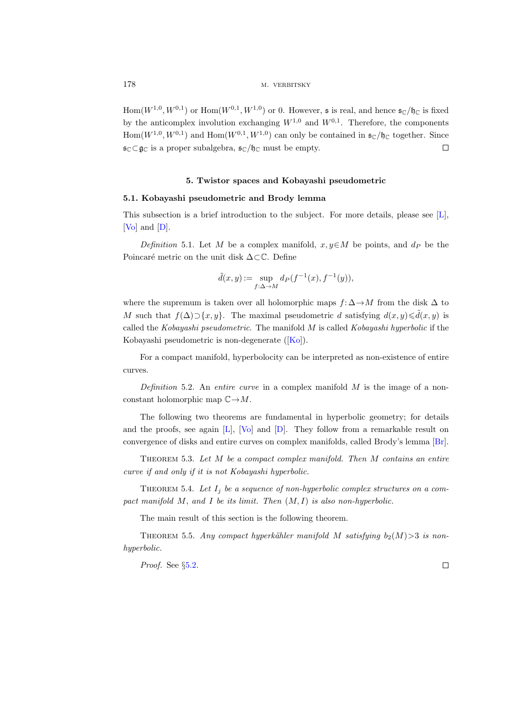$\text{Hom}(W^{1,0}, W^{0,1})$  or  $\text{Hom}(W^{0,1}, W^{1,0})$  or 0. However, s is real, and hence  $\mathfrak{s}_{\mathbb{C}}/\mathfrak{h}_{\mathbb{C}}$  is fixed by the anticomplex involution exchanging  $W^{1,0}$  and  $W^{0,1}$ . Therefore, the components  $Hom(W^{1,0}, W^{0,1})$  and  $Hom(W^{0,1}, W^{1,0})$  can only be contained in  $\mathfrak{s}_{\mathbb{C}}/\mathfrak{h}_{\mathbb{C}}$  together. Since  $\mathfrak{s}_{\mathbb{C}}\subset\mathfrak{g}_{\mathbb{C}}$  is a proper subalgebra,  $\mathfrak{s}_{\mathbb{C}}/\mathfrak{h}_{\mathbb{C}}$  must be empty.  $\Box$ 

# 5. Twistor spaces and Kobayashi pseudometric

# <span id="page-17-0"></span>5.1. Kobayashi pseudometric and Brody lemma

This subsection is a brief introduction to the subject. For more details, please see [\[L\]](#page-20-17), [\[Vo\]](#page-21-4) and [\[D\]](#page-20-18).

Definition 5.1. Let M be a complex manifold,  $x, y \in M$  be points, and  $d_P$  be the Poincaré metric on the unit disk  $\Delta \subset \mathbb{C}$ . Define

$$
\tilde{d}(x, y) := \sup_{f: \Delta \to M} d_P(f^{-1}(x), f^{-1}(y)),
$$

where the supremum is taken over all holomorphic maps  $f: \Delta \to M$  from the disk  $\Delta$  to M such that  $f(\Delta) \supset \{x, y\}$ . The maximal pseudometric d satisfying  $d(x, y) \leq d(x, y)$  is called the Kobayashi pseudometric. The manifold M is called Kobayashi hyperbolic if the Kobayashi pseudometric is non-degenerate([\[Ko\]](#page-20-5)).

For a compact manifold, hyperbolocity can be interpreted as non-existence of entire curves.

Definition 5.2. An entire curve in a complex manifold  $M$  is the image of a nonconstant holomorphic map  $\mathbb{C} \rightarrow M$ .

The following two theorems are fundamental in hyperbolic geometry; for details and the proofs, see again  $[L]$ ,  $[V_0]$  and  $[D]$ . They follow from a remarkable result on convergence of disks and entire curves on complex manifolds, called Brody's lemma [\[Br\]](#page-19-7).

THEOREM 5.3. Let  $M$  be a compact complex manifold. Then  $M$  contains an entire curve if and only if it is not Kobayashi hyperbolic.

<span id="page-17-1"></span>THEOREM 5.4. Let  $I_j$  be a sequence of non-hyperbolic complex structures on a compact manifold  $M$ , and  $I$  be its limit. Then  $(M, I)$  is also non-hyperbolic.

The main result of this section is the following theorem.

<span id="page-17-2"></span>THEOREM 5.5. Any compact hyperkähler manifold M satisfying  $b_2(M) > 3$  is nonhyperbolic.

Proof. See §[5.2.](#page-18-3)

 $\Box$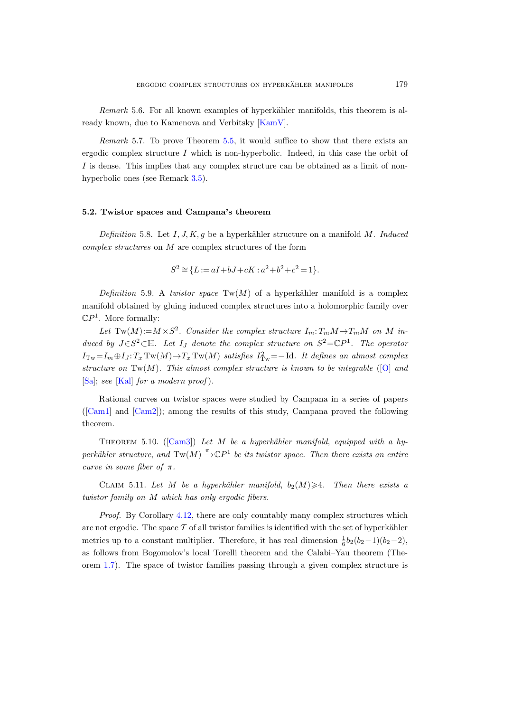Remark 5.6. For all known examples of hyperkähler manifolds, this theorem is already known, due to Kamenova and Verbitsky [\[KamV\]](#page-20-0).

Remark 5.7. To prove Theorem [5.5,](#page-17-2) it would suffice to show that there exists an ergodic complex structure  $I$  which is non-hyperbolic. Indeed, in this case the orbit of I is dense. This implies that any complex structure can be obtained as a limit of nonhyperbolic ones (see Remark [3.5\)](#page-9-3).

# <span id="page-18-3"></span>5.2. Twistor spaces and Campana's theorem

Definition 5.8. Let  $I, J, K, g$  be a hyperkähler structure on a manifold M. Induced complex structures on M are complex structures of the form

$$
S^2 \cong \{ L := aI + bJ + cK : a^2 + b^2 + c^2 = 1 \}.
$$

<span id="page-18-0"></span>Definition 5.9. A twistor space  $Tw(M)$  of a hyperkähler manifold is a complex manifold obtained by gluing induced complex structures into a holomorphic family over  $\mathbb{C}P^1$ . More formally:

Let  $Tw(M) := M \times S^2$ . Consider the complex structure  $I_m: T_mM \to T_mM$  on M induced by  $J \in S^2 \subset \mathbb{H}$ . Let  $I_J$  denote the complex structure on  $S^2 = \mathbb{C}P^1$ . The operator  $I_{\text{Tw}} = I_m \oplus I_J$ :  $T_x \text{Tw}(M) \rightarrow T_x \text{Tw}(M)$  satisfies  $I_{\text{Tw}}^2 = -\text{Id}$ . It defines an almost complex structure on  $Tw(M)$ . This almost complex structure is known to be integrable  $([O]$  $([O]$  and  $[Sa]$ ; see  $[Ka]$  for a modern proof).

Rational curves on twistor spaces were studied by Campana in a series of papers ([\[Cam1\]](#page-20-21) and [\[Cam2\]](#page-20-22)); among the results of this study, Campana proved the following theorem.

<span id="page-18-1"></span>THEOREM5.10. ([\[Cam3\]](#page-20-6)) Let M be a hyperkähler manifold, equipped with a hyperkähler structure, and  $Tw(M) \xrightarrow{\pi} \mathbb{C}P^1$  be its twistor space. Then there exists an entire curve in some fiber of  $\pi$ .

<span id="page-18-2"></span>CLAIM 5.11. Let M be a hyperkähler manifold,  $b_2(M) \geq 4$ . Then there exists a twistor family on M which has only ergodic fibers.

Proof. By Corollary [4.12,](#page-14-0) there are only countably many complex structures which are not ergodic. The space  $\mathcal T$  of all twistor families is identified with the set of hyperkähler metrics up to a constant multiplier. Therefore, it has real dimension  $\frac{1}{6}b_2(b_2-1)(b_2-2)$ , as follows from Bogomolov's local Torelli theorem and the Calabi–Yau theorem (Theorem [1.7\)](#page-2-1). The space of twistor families passing through a given complex structure is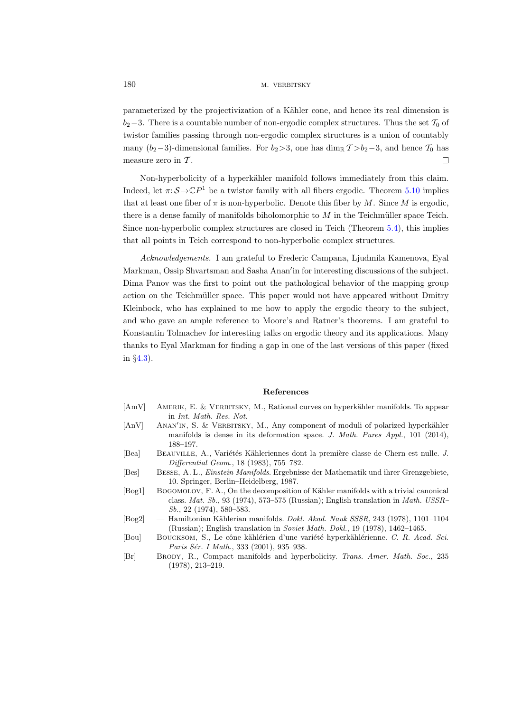parameterized by the projectivization of a Kähler cone, and hence its real dimension is  $b_2-3$ . There is a countable number of non-ergodic complex structures. Thus the set  $\mathcal{T}_0$  of twistor families passing through non-ergodic complex structures is a union of countably many (b<sub>2</sub>−3)-dimensional families. For  $b_2>3$ , one has dim<sub>R</sub>  $T > b_2-3$ , and hence  $T_0$  has measure zero in  $T$ . □

Non-hyperbolicity of a hyperkähler manifold follows immediately from this claim. Indeed, let  $\pi: \mathcal{S} \to \mathbb{C}P^1$  be a twistor family with all fibers ergodic. Theorem [5.10](#page-18-1) implies that at least one fiber of  $\pi$  is non-hyperbolic. Denote this fiber by M. Since M is ergodic, there is a dense family of manifolds biholomorphic to  $M$  in the Teichmüller space Teich. Since non-hyperbolic complex structures are closed in Teich (Theorem [5.4\)](#page-17-1), this implies that all points in Teich correspond to non-hyperbolic complex structures.

Acknowledgements. I am grateful to Frederic Campana, Ljudmila Kamenova, Eyal Markman, Ossip Shvartsman and Sasha Anan'in for interesting discussions of the subject. Dima Panov was the first to point out the pathological behavior of the mapping group action on the Teichmüller space. This paper would not have appeared without Dmitry Kleinbock, who has explained to me how to apply the ergodic theory to the subject, and who gave an ample reference to Moore's and Ratner's theorems. I am grateful to Konstantin Tolmachev for interesting talks on ergodic theory and its applications. Many thanks to Eyal Markman for finding a gap in one of the last versions of this paper (fixed in §[4.3\)](#page-14-1).

### References

- <span id="page-19-6"></span>[AmV] AMERIK, E. & VERBITSKY, M., Rational curves on hyperkähler manifolds. To appear in Int. Math. Res. Not.
- <span id="page-19-0"></span>[AnV] ANAN'IN, S. & VERBITSKY, M., Any component of moduli of polarized hyperkähler manifolds is dense in its deformation space. J. Math. Pures Appl., 101 (2014), 188–197.
- <span id="page-19-2"></span>[Bea] BEAUVILLE, A., Variétés Kähleriennes dont la première classe de Chern est nulle. J. Differential Geom., 18 (1983), 755–782.
- <span id="page-19-1"></span>[Bes] Besse, A. L., Einstein Manifolds. Ergebnisse der Mathematik und ihrer Grenzgebiete, 10. Springer, Berlin–Heidelberg, 1987.
- <span id="page-19-3"></span>[Bog1] BOGOMOLOV, F. A., On the decomposition of Kähler manifolds with a trivial canonical class. Mat. Sb., 93 (1974), 573–575 (Russian); English translation in Math. USSR– Sb., 22 (1974), 580–583.
- <span id="page-19-4"></span>[Bog2] — Hamiltonian Kählerian manifolds. *Dokl. Akad. Nauk SSSR*, 243 (1978), 1101–1104 (Russian); English translation in Soviet Math. Dokl., 19 (1978), 1462–1465.
- <span id="page-19-5"></span>[Bou] BOUCKSOM, S., Le cône kählérien d'une variété hyperkählérienne. C. R. Acad. Sci. Paris Sér. I Math., 333 (2001), 935–938.
- <span id="page-19-7"></span>[Br] BRODY, R., Compact manifolds and hyperbolicity. Trans. Amer. Math. Soc., 235 (1978), 213–219.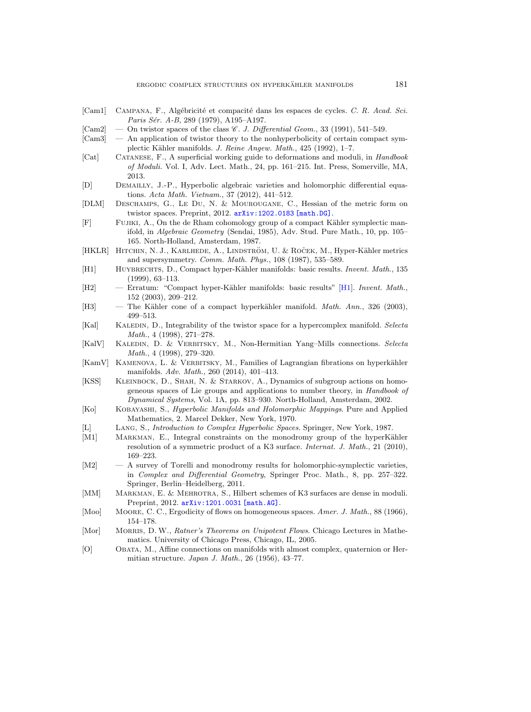<span id="page-20-21"></span>[Cam1] CAMPANA, F., Algébricité et compacité dans les espaces de cycles. C. R. Acad. Sci.

Paris Sér. A-B, 289 (1979), A195-A197.

<span id="page-20-22"></span><span id="page-20-20"></span><span id="page-20-19"></span><span id="page-20-18"></span><span id="page-20-17"></span><span id="page-20-16"></span><span id="page-20-15"></span><span id="page-20-14"></span><span id="page-20-13"></span><span id="page-20-12"></span><span id="page-20-11"></span><span id="page-20-10"></span><span id="page-20-9"></span><span id="page-20-8"></span><span id="page-20-7"></span><span id="page-20-6"></span><span id="page-20-5"></span><span id="page-20-4"></span><span id="page-20-3"></span><span id="page-20-2"></span><span id="page-20-1"></span><span id="page-20-0"></span>

| $\left[{\rm Cam2}\right]$ | — On twistor spaces of the class <i>C. J. Differential Geom.</i> , 33 (1991), 541–549.                                                                                                                                                            |
|---------------------------|---------------------------------------------------------------------------------------------------------------------------------------------------------------------------------------------------------------------------------------------------|
| Cam3                      | - An application of twistor theory to the nonhyperbolicity of certain compact sym-<br>plectic Kähler manifolds. J. Reine Angew. Math., 425 (1992), 1–7.                                                                                           |
| [Cat]                     | CATANESE, F., A superficial working guide to deformations and moduli, in <i>Handbook</i><br>of Moduli. Vol. I, Adv. Lect. Math., 24, pp. 161–215. Int. Press, Somerville, MA,<br>2013.                                                            |
| [D]                       | DEMAILLY, J.-P., Hyperbolic algebraic varieties and holomorphic differential equa-<br>tions. Acta Math. Vietnam., 37 (2012), 441-512.                                                                                                             |
| [DLM]                     | DESCHAMPS, G., LE DU, N. & MOUROUGANE, C., Hessian of the metric form on<br>twistor spaces. Preprint, 2012. arXiv: 1202.0183 [math.DG].                                                                                                           |
| $[\mathrm{F}]$            | FUJIKI, A., On the de Rham cohomology group of a compact Kähler symplectic man-<br>ifold, in Algebraic Geometry (Sendai, 1985), Adv. Stud. Pure Math., 10, pp. 105–<br>165. North-Holland, Amsterdam, 1987.                                       |
| [HKLR]                    | HITCHIN, N. J., KARLHEDE, A., LINDSTRÖM, U. & ROČEK, M., Hyper-Kähler metrics<br>and supersymmetry. Comm. Math. Phys., 108 (1987), 535-589.                                                                                                       |
| $[H1]$                    | HUYBRECHTS, D., Compact hyper-Kähler manifolds: basic results. <i>Invent. Math.</i> , 135<br>$(1999), 63-113.$                                                                                                                                    |
| H2                        | - Erratum: "Compact hyper-Kähler manifolds: basic results" [H1]. Invent. Math.,<br>$152$ (2003), 209-212.                                                                                                                                         |
| [H3]                      | The Kähler cone of a compact hyperkähler manifold. Math. Ann., 326 (2003),<br>$499 - 513.$                                                                                                                                                        |
| [Kal]                     | KALEDIN, D., Integrability of the twistor space for a hypercomplex manifold. Selecta<br>Math., $4$ (1998), 271-278.                                                                                                                               |
| [KalV]                    | KALEDIN, D. & VERBITSKY, M., Non-Hermitian Yang-Mills connections. Selecta<br><i>Math.</i> , 4 (1998), 279–320.                                                                                                                                   |
| [KamV]                    | KAMENOVA, L. & VERBITSKY, M., Families of Lagrangian fibrations on hyperkähler<br>manifolds. Adv. Math., 260 (2014), 401-413.                                                                                                                     |
| [KSS]                     | KLEINBOCK, D., SHAH, N. & STARKOV, A., Dynamics of subgroup actions on homo-<br>geneous spaces of Lie groups and applications to number theory, in <i>Handbook of</i><br>Dynamical Systems, Vol. 1A, pp. 813-930. North-Holland, Amsterdam, 2002. |
| $[\mathrm{Kol}]$          | KOBAYASHI, S., <i>Hyperbolic Manifolds and Holomorphic Mappings</i> . Pure and Applied<br>Mathematics, 2. Marcel Dekker, New York, 1970.                                                                                                          |
| [L]                       | LANG, S., Introduction to Complex Hyperbolic Spaces. Springer, New York, 1987.                                                                                                                                                                    |
| M1                        | MARKMAN, E., Integral constraints on the monodromy group of the hyperKähler<br>resolution of a symmetric product of a K3 surface. Internat. J. Math., 21 (2010),<br>$169 - 223.$                                                                  |
| $\rm{[M2]}$               | A survey of Torelli and monodromy results for holomorphic-symplectic varieties,<br>in <i>Complex and Differential Geometry</i> , Springer Proc. Math., 8, pp. 257–322.<br>Springer, Berlin–Heidelberg, 2011.                                      |
| [MM]                      | MARKMAN, E. & MEHROTRA, S., Hilbert schemes of K3 surfaces are dense in moduli.<br>Preprint, 2012. arXiv: 1201.0031 [math.AG].                                                                                                                    |
| [Mod]                     | MOORE, C.C., Ergodicity of flows on homogeneous spaces. Amer. J. Math., 88 (1966),<br>$154 - 178.$                                                                                                                                                |
| [Mor]                     | MORRIS, D. W., Ratner's Theorems on Unipotent Flows. Chicago Lectures in Mathe-<br>matics. University of Chicago Press, Chicago, IL, 2005.                                                                                                        |
| [O]                       | OBATA, M., Affine connections on manifolds with almost complex, quaternion or Her-<br>mitian structure. Japan J. Math., 26 (1956), 43-77.                                                                                                         |
|                           |                                                                                                                                                                                                                                                   |